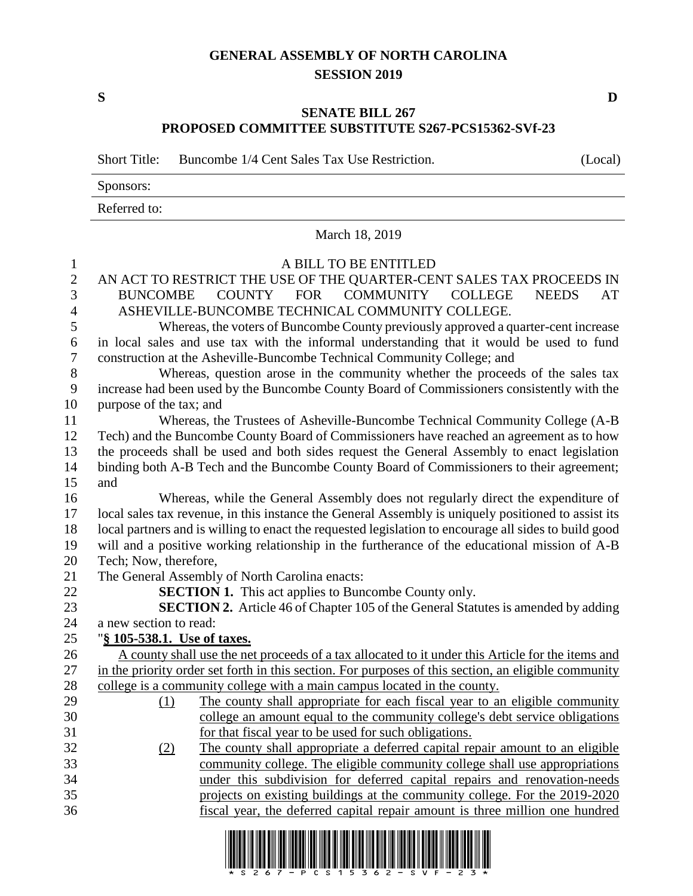## **GENERAL ASSEMBLY OF NORTH CAROLINA SESSION 2019**

**S D**

## **SENATE BILL 267 PROPOSED COMMITTEE SUBSTITUTE S267-PCS15362-SVf-23**

Short Title: Buncombe 1/4 Cent Sales Tax Use Restriction. (Local)

Sponsors:

Referred to:

March 18, 2019 A BILL TO BE ENTITLED AN ACT TO RESTRICT THE USE OF THE QUARTER-CENT SALES TAX PROCEEDS IN BUNCOMBE COUNTY FOR COMMUNITY COLLEGE NEEDS AT ASHEVILLE-BUNCOMBE TECHNICAL COMMUNITY COLLEGE. Whereas, the voters of Buncombe County previously approved a quarter-cent increase in local sales and use tax with the informal understanding that it would be used to fund construction at the Asheville-Buncombe Technical Community College; and Whereas, question arose in the community whether the proceeds of the sales tax increase had been used by the Buncombe County Board of Commissioners consistently with the purpose of the tax; and Whereas, the Trustees of Asheville-Buncombe Technical Community College (A-B Tech) and the Buncombe County Board of Commissioners have reached an agreement as to how the proceeds shall be used and both sides request the General Assembly to enact legislation binding both A-B Tech and the Buncombe County Board of Commissioners to their agreement; and Whereas, while the General Assembly does not regularly direct the expenditure of local sales tax revenue, in this instance the General Assembly is uniquely positioned to assist its local partners and is willing to enact the requested legislation to encourage all sides to build good will and a positive working relationship in the furtherance of the educational mission of A-B Tech; Now, therefore, The General Assembly of North Carolina enacts: **SECTION 1.** This act applies to Buncombe County only. **SECTION 2.** Article 46 of Chapter 105 of the General Statutes is amended by adding a new section to read: "**§ 105-538.1. Use of taxes.** A county shall use the net proceeds of a tax allocated to it under this Article for the items and in the priority order set forth in this section. For purposes of this section, an eligible community college is a community college with a main campus located in the county. (1) The county shall appropriate for each fiscal year to an eligible community college an amount equal to the community college's debt service obligations for that fiscal year to be used for such obligations. (2) The county shall appropriate a deferred capital repair amount to an eligible community college. The eligible community college shall use appropriations under this subdivision for deferred capital repairs and renovation-needs projects on existing buildings at the community college. For the 2019-2020 fiscal year, the deferred capital repair amount is three million one hundred